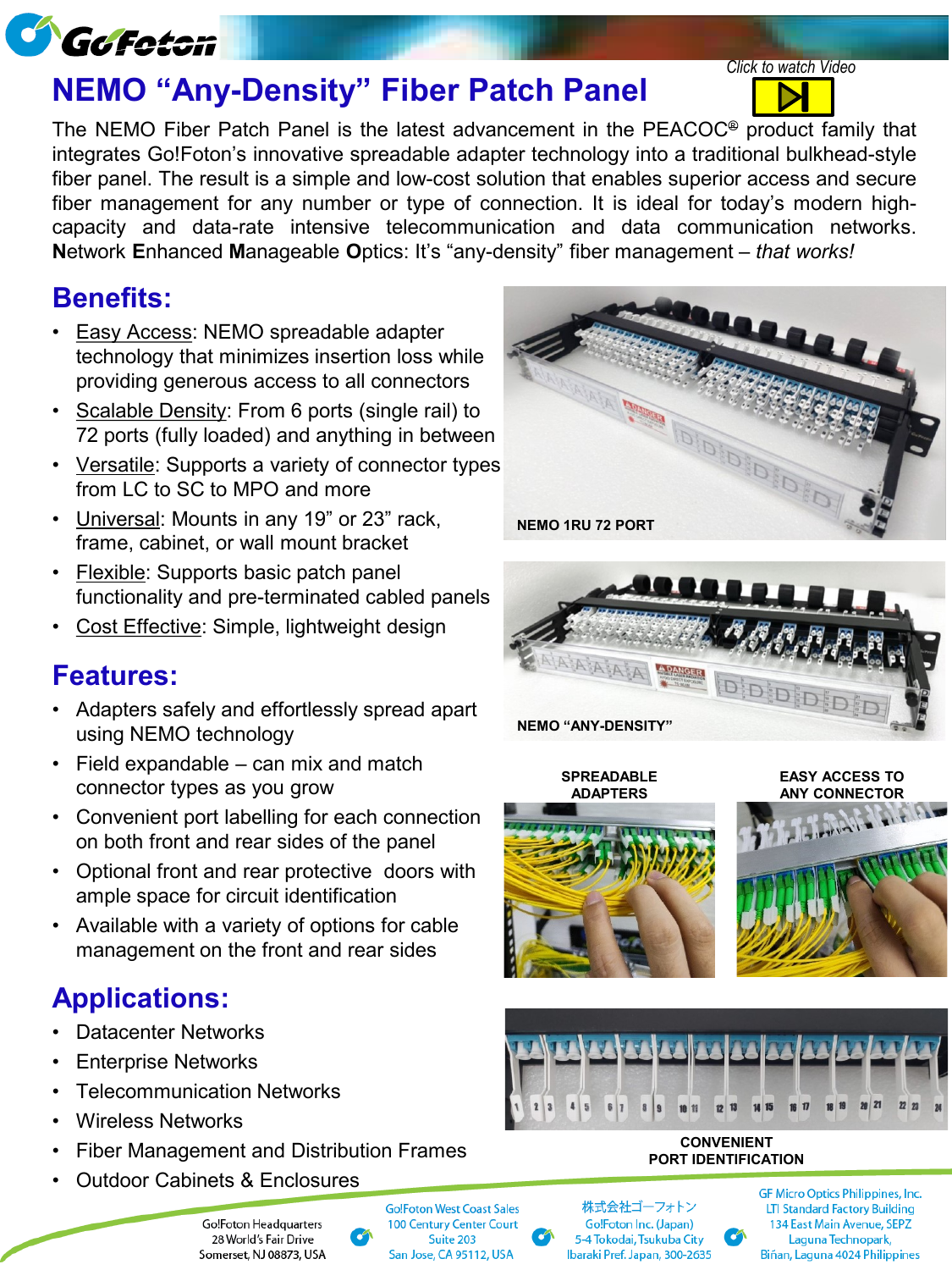

# **NEMO "Any-Density" Fiber Patch Panel**

The NEMO Fiber Patch Panel is the latest advancement in the PEACOC® product family that integrates Go!Foton's innovative spreadable adapter technology into a traditional bulkhead-style fiber panel. The result is a simple and low-cost solution that enables superior access and secure fiber management for any number or type of connection. It is ideal for today's modern highcapacity and data-rate intensive telecommunication and data communication networks. **N**etwork **E**nhanced **M**anageable **O**ptics: It's "any-density" fiber management – *that works!*

### **Benefits:**

- Easy Access: NEMO spreadable adapter technology that minimizes insertion loss while providing generous access to all connectors
- Scalable Density: From 6 ports (single rail) to 72 ports (fully loaded) and anything in between
- Versatile: Supports a variety of connector types from LC to SC to MPO and more
- Universal: Mounts in any 19" or 23" rack, frame, cabinet, or wall mount bracket
- **Flexible: Supports basic patch panel** functionality and pre-terminated cabled panels
- Cost Effective: Simple, lightweight design

#### **Features:**

- Adapters safely and effortlessly spread apart using NEMO technology
- Field expandable can mix and match connector types as you grow
- Convenient port labelling for each connection on both front and rear sides of the panel
- Optional front and rear protective doors with ample space for circuit identification
- Available with a variety of options for cable management on the front and rear sides

### **Applications:**

- Datacenter Networks
- **Enterprise Networks**
- Telecommunication Networks
- Wireless Networks
- Fiber Management and Distribution Frames
- Outdoor Cabinets & Enclosures



*Click to watch Video*



**SPREADABLE ADAPTERS**

**EASY ACCESS TO**







**CONVENIENT PORT IDENTIFICATION**



GF Micro Optics Philippines, Inc. **LTI Standard Factory Building** 134 East Main Avenue, SEPZ Laguna Technopark, Biñan, Laguna 4024 Philippines

Go!Foton Headquarters 28 World's Fair Drive Somerset, NJ 08873, USA **Go!Foton West Coast Sales 100 Century Center Court** Suite 203 San Jose, CA 95112, USA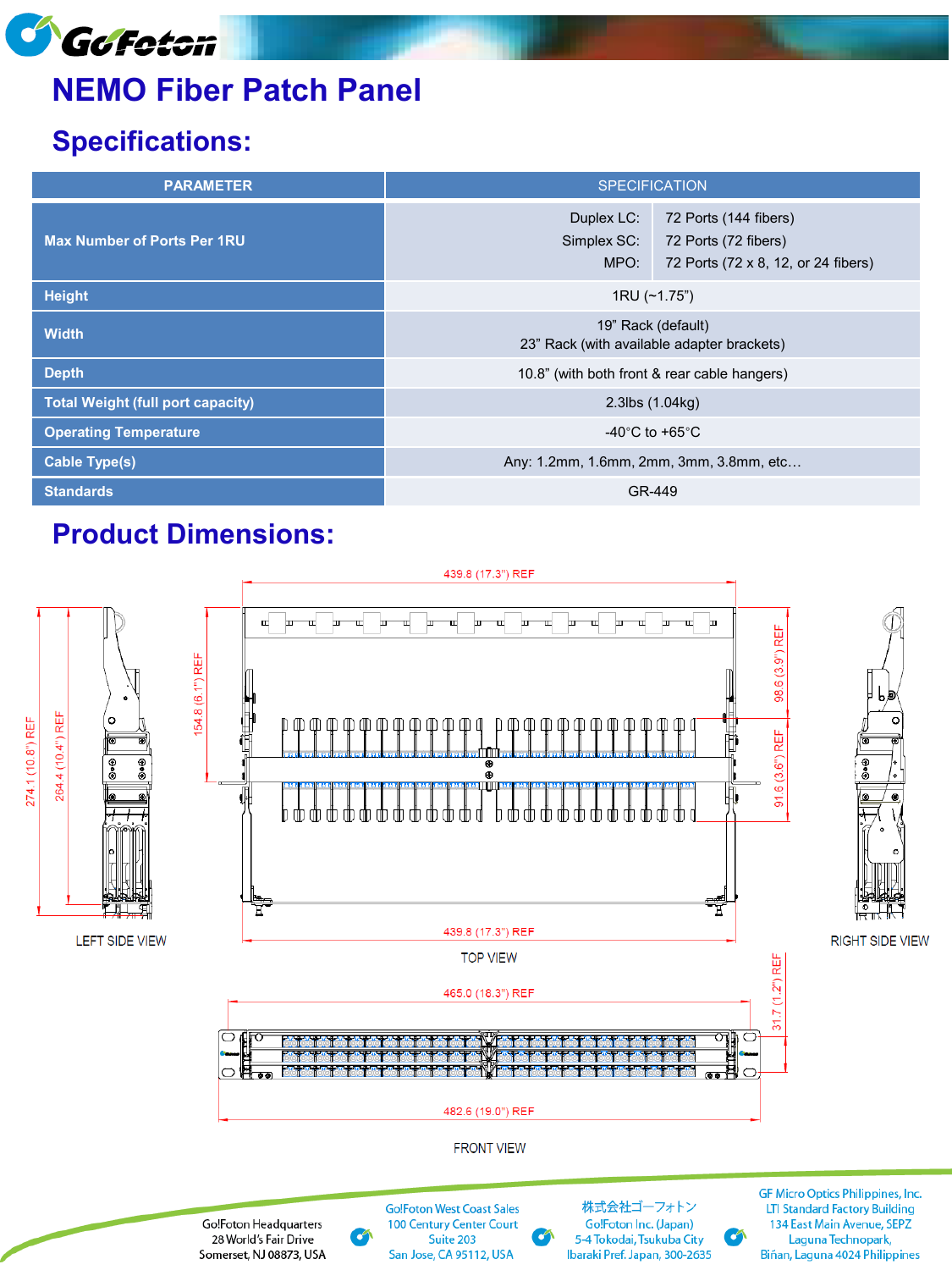

# **NEMO Fiber Patch Panel**

## **Specifications:**

| <b>PARAMETER</b>                         | <b>SPECIFICATION</b>                                             |                                                                                      |
|------------------------------------------|------------------------------------------------------------------|--------------------------------------------------------------------------------------|
| <b>Max Number of Ports Per 1RU</b>       | Duplex LC:<br>Simplex SC:<br>MPO:                                | 72 Ports (144 fibers)<br>72 Ports (72 fibers)<br>72 Ports (72 x 8, 12, or 24 fibers) |
| <b>Height</b>                            | 1RU (~1.75")                                                     |                                                                                      |
| <b>Width</b>                             | 19" Rack (default)<br>23" Rack (with available adapter brackets) |                                                                                      |
| <b>Depth</b>                             | 10.8" (with both front & rear cable hangers)                     |                                                                                      |
| <b>Total Weight (full port capacity)</b> | $2.3$ lbs $(1.04kg)$                                             |                                                                                      |
| <b>Operating Temperature</b>             | -40 $^{\circ}$ C to +65 $^{\circ}$ C                             |                                                                                      |
| <b>Cable Type(s)</b>                     | Any: 1.2mm, 1.6mm, 2mm, 3mm, 3.8mm, etc                          |                                                                                      |
| <b>Standards</b>                         | GR-449                                                           |                                                                                      |

### **Product Dimensions:**